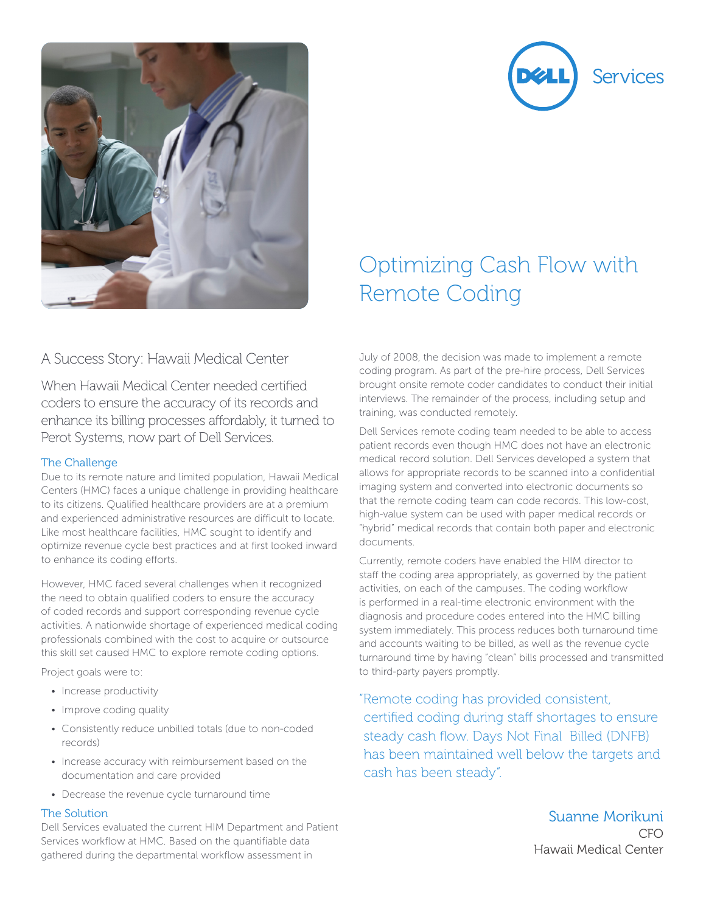



# A Success Story: Hawaii Medical Center

When Hawaii Medical Center needed certified coders to ensure the accuracy of its records and enhance its billing processes affordably, it turned to Perot Systems, now part of Dell Services.

### The Challenge

Due to its remote nature and limited population, Hawaii Medical Centers (HMC) faces a unique challenge in providing healthcare to its citizens. Qualified healthcare providers are at a premium and experienced administrative resources are difficult to locate. Like most healthcare facilities, HMC sought to identify and optimize revenue cycle best practices and at first looked inward to enhance its coding efforts.

However, HMC faced several challenges when it recognized the need to obtain qualified coders to ensure the accuracy of coded records and support corresponding revenue cycle activities. A nationwide shortage of experienced medical coding professionals combined with the cost to acquire or outsource this skill set caused HMC to explore remote coding options.

Project goals were to:

- Increase productivity
- Improve coding quality
- Consistently reduce unbilled totals (due to non-coded records)
- Increase accuracy with reimbursement based on the documentation and care provided
- Decrease the revenue cycle turnaround time

### The Solution

Dell Services evaluated the current HIM Department and Patient Services workflow at HMC. Based on the quantifiable data gathered during the departmental workflow assessment in

# Optimizing Cash Flow with Remote Coding

July of 2008, the decision was made to implement a remote coding program. As part of the pre-hire process, Dell Services brought onsite remote coder candidates to conduct their initial interviews. The remainder of the process, including setup and training, was conducted remotely.

Dell Services remote coding team needed to be able to access patient records even though HMC does not have an electronic medical record solution. Dell Services developed a system that allows for appropriate records to be scanned into a confidential imaging system and converted into electronic documents so that the remote coding team can code records. This low-cost, high-value system can be used with paper medical records or "hybrid" medical records that contain both paper and electronic documents.

Currently, remote coders have enabled the HIM director to staff the coding area appropriately, as governed by the patient activities, on each of the campuses. The coding workflow is performed in a real-time electronic environment with the diagnosis and procedure codes entered into the HMC billing system immediately. This process reduces both turnaround time and accounts waiting to be billed, as well as the revenue cycle turnaround time by having "clean" bills processed and transmitted to third-party payers promptly.

"Remote coding has provided consistent, certified coding during staff shortages to ensure steady cash flow. Days Not Final Billed (DNFB) has been maintained well below the targets and cash has been steady".

> Suanne Morikuni C<sub>FO</sub> Hawaii Medical Center